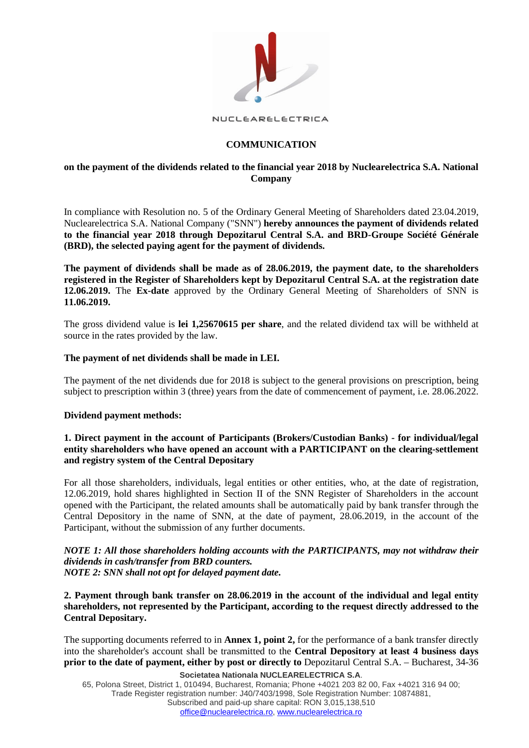

NUCLEARELECTRICA

# **COMMUNICATION**

# **on the payment of the dividends related to the financial year 2018 by Nuclearelectrica S.A. National Company**

In compliance with Resolution no. 5 of the Ordinary General Meeting of Shareholders dated 23.04.2019, Nuclearelectrica S.A. National Company ("SNN") **hereby announces the payment of dividends related to the financial year 2018 through Depozitarul Central S.A. and BRD-Groupe Société Générale (BRD), the selected paying agent for the payment of dividends.**

**The payment of dividends shall be made as of 28.06.2019, the payment date, to the shareholders registered in the Register of Shareholders kept by Depozitarul Central S.A. at the registration date 12.06.2019.** The **Ex-date** approved by the Ordinary General Meeting of Shareholders of SNN is **11.06.2019.** 

The gross dividend value is **lei 1,25670615 per share**, and the related dividend tax will be withheld at source in the rates provided by the law.

#### **The payment of net dividends shall be made in LEI.**

The payment of the net dividends due for 2018 is subject to the general provisions on prescription, being subject to prescription within 3 (three) years from the date of commencement of payment, i.e. 28.06.2022.

#### **Dividend payment methods:**

# **1. Direct payment in the account of Participants (Brokers/Custodian Banks) - for individual/legal entity shareholders who have opened an account with a PARTICIPANT on the clearing-settlement and registry system of the Central Depositary**

For all those shareholders, individuals, legal entities or other entities, who, at the date of registration, 12.06.2019, hold shares highlighted in Section II of the SNN Register of Shareholders in the account opened with the Participant, the related amounts shall be automatically paid by bank transfer through the Central Depository in the name of SNN, at the date of payment, 28.06.2019, in the account of the Participant, without the submission of any further documents.

# *NOTE 1: All those shareholders holding accounts with the PARTICIPANTS, may not withdraw their dividends in cash/transfer from BRD counters.*

*NOTE 2: SNN shall not opt for delayed payment date.*

**2. Payment through bank transfer on 28.06.2019 in the account of the individual and legal entity shareholders, not represented by the Participant, according to the request directly addressed to the Central Depositary.**

The supporting documents referred to in **Annex 1, point 2,** for the performance of a bank transfer directly into the shareholder's account shall be transmitted to the **Central Depository at least 4 business days prior to the date of payment, either by post or directly to** Depozitarul Central S.A. – Bucharest, 34-36

**Societatea Nationala NUCLEARELECTRICA S.A**.

65, Polona Street, District 1, 010494, Bucharest, Romania; Phone +4021 203 82 00, Fax +4021 316 94 00; Trade Register registration number: J40/7403/1998, Sole Registration Number: 10874881, Subscribed and paid-up share capital: RON 3,015,138,510 [office@nuclearelectrica.ro,](mailto:office@nuclearelectrica.ro) [www.nuclearelectrica.ro](http://www.nuclearelectrica.ro/)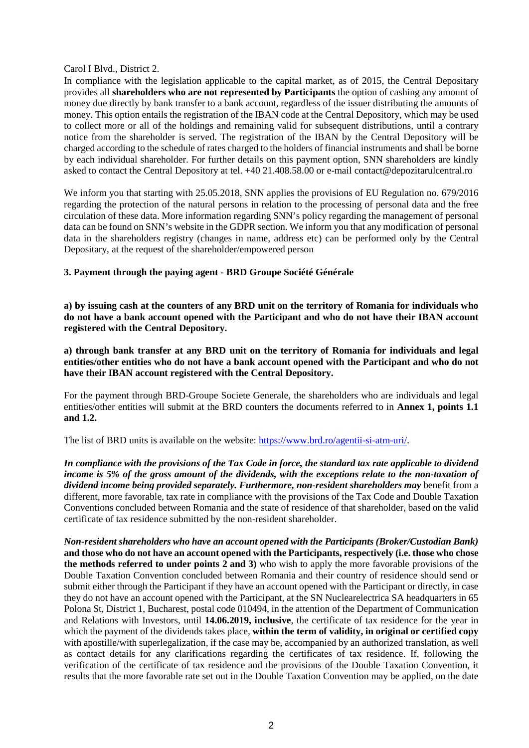Carol I Blvd., District 2.

In compliance with the legislation applicable to the capital market, as of 2015, the Central Depositary provides all **shareholders who are not represented by Participants** the option of cashing any amount of money due directly by bank transfer to a bank account, regardless of the issuer distributing the amounts of money. This option entails the registration of the IBAN code at the Central Depository, which may be used to collect more or all of the holdings and remaining valid for subsequent distributions, until a contrary notice from the shareholder is served. The registration of the IBAN by the Central Depository will be charged according to the schedule of rates charged to the holders of financial instruments and shall be borne by each individual shareholder. For further details on this payment option, SNN shareholders are kindly asked to contact the Central Depository at tel. +40 21.408.58.00 or e-mail contact@depozitarulcentral.ro

We inform you that starting with 25.05.2018, SNN applies the provisions of EU Regulation no. 679/2016 regarding the protection of the natural persons in relation to the processing of personal data and the free circulation of these data. More information regarding SNN's policy regarding the management of personal data can be found on SNN's website in the GDPR section. We inform you that any modification of personal data in the shareholders registry (changes in name, address etc) can be performed only by the Central Depositary, at the request of the shareholder/empowered person

**3. Payment through the paying agent - BRD Groupe Société Générale**

**a) by issuing cash at the counters of any BRD unit on the territory of Romania for individuals who do not have a bank account opened with the Participant and who do not have their IBAN account registered with the Central Depository.**

**a) through bank transfer at any BRD unit on the territory of Romania for individuals and legal entities/other entities who do not have a bank account opened with the Participant and who do not have their IBAN account registered with the Central Depository.**

For the payment through BRD-Groupe Societe Generale, the shareholders who are individuals and legal entities/other entities will submit at the BRD counters the documents referred to in **Annex 1, points 1.1 and 1.2.**

The list of BRD units is available on the website: [https://www.brd.ro/agentii-si-atm-uri/.](https://www.brd.ro/instrumente-utile/agentii-si-atm-uri/)

*In compliance with the provisions of the Tax Code in force, the standard tax rate applicable to dividend income is 5% of the gross amount of the dividends, with the exceptions relate to the non-taxation of dividend income being provided separately. Furthermore, non-resident shareholders may* benefit from a different, more favorable, tax rate in compliance with the provisions of the Tax Code and Double Taxation Conventions concluded between Romania and the state of residence of that shareholder, based on the valid certificate of tax residence submitted by the non-resident shareholder.

*Non-resident shareholders who have an account opened with the Participants (Broker/Custodian Bank)*  **and those who do not have an account opened with the Participants, respectively (i.e. those who chose the methods referred to under points 2 and 3)** who wish to apply the more favorable provisions of the Double Taxation Convention concluded between Romania and their country of residence should send or submit either through the Participant if they have an account opened with the Participant or directly, in case they do not have an account opened with the Participant, at the SN Nuclearelectrica SA headquarters in 65 Polona St, District 1, Bucharest, postal code 010494, in the attention of the Department of Communication and Relations with Investors, until **14.06.2019, inclusive**, the certificate of tax residence for the year in which the payment of the dividends takes place, **within the term of validity, in original or certified copy**  with apostille/with superlegalization, if the case may be, accompanied by an authorized translation, as well as contact details for any clarifications regarding the certificates of tax residence. If, following the verification of the certificate of tax residence and the provisions of the Double Taxation Convention, it results that the more favorable rate set out in the Double Taxation Convention may be applied, on the date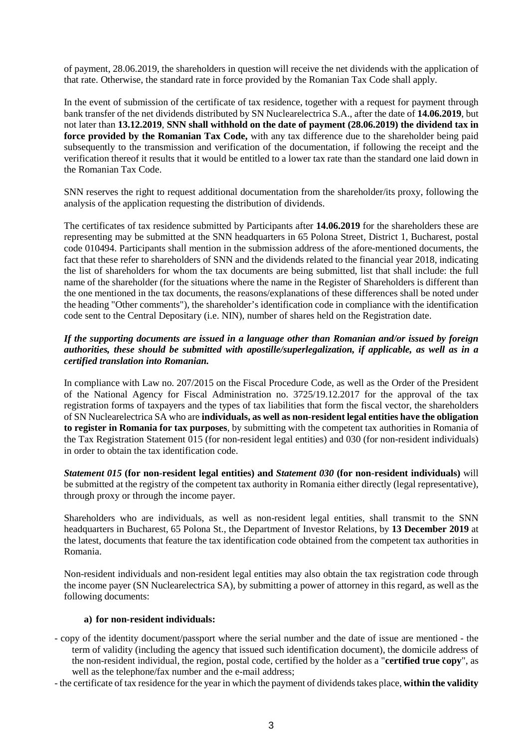of payment, 28.06.2019, the shareholders in question will receive the net dividends with the application of that rate. Otherwise, the standard rate in force provided by the Romanian Tax Code shall apply.

In the event of submission of the certificate of tax residence, together with a request for payment through bank transfer of the net dividends distributed by SN Nuclearelectrica S.A., after the date of **14.06.2019**, but not later than **13.12.2019**, **SNN shall withhold on the date of payment (28.06.2019) the dividend tax in force provided by the Romanian Tax Code,** with any tax difference due to the shareholder being paid subsequently to the transmission and verification of the documentation, if following the receipt and the verification thereof it results that it would be entitled to a lower tax rate than the standard one laid down in the Romanian Tax Code.

SNN reserves the right to request additional documentation from the shareholder/its proxy, following the analysis of the application requesting the distribution of dividends.

The certificates of tax residence submitted by Participants after **14.06.2019** for the shareholders these are representing may be submitted at the SNN headquarters in 65 Polona Street, District 1, Bucharest, postal code 010494. Participants shall mention in the submission address of the afore-mentioned documents, the fact that these refer to shareholders of SNN and the dividends related to the financial year 2018, indicating the list of shareholders for whom the tax documents are being submitted, list that shall include: the full name of the shareholder (for the situations where the name in the Register of Shareholders is different than the one mentioned in the tax documents, the reasons/explanations of these differences shall be noted under the heading "Other comments"), the shareholder's identification code in compliance with the identification code sent to the Central Depositary (i.e. NIN), number of shares held on the Registration date.

# *If the supporting documents are issued in a language other than Romanian and/or issued by foreign authorities, these should be submitted with apostille/superlegalization, if applicable, as well as in a certified translation into Romanian.*

In compliance with Law no. 207/2015 on the Fiscal Procedure Code, as well as the Order of the President of the National Agency for Fiscal Administration no. 3725/19.12.2017 for the approval of the tax registration forms of taxpayers and the types of tax liabilities that form the fiscal vector, the shareholders of SN Nuclearelectrica SA who are **individuals, as well as non-resident legal entities have the obligation to register in Romania for tax purposes**, by submitting with the competent tax authorities in Romania of the Tax Registration Statement 015 (for non-resident legal entities) and 030 (for non-resident individuals) in order to obtain the tax identification code.

*Statement 015* **(for non-resident legal entities) and** *Statement 030* **(for non-resident individuals)** will be submitted at the registry of the competent tax authority in Romania either directly (legal representative), through proxy or through the income payer.

Shareholders who are individuals, as well as non-resident legal entities, shall transmit to the SNN headquarters in Bucharest, 65 Polona St., the Department of Investor Relations, by **13 December 2019** at the latest, documents that feature the tax identification code obtained from the competent tax authorities in Romania.

Non-resident individuals and non-resident legal entities may also obtain the tax registration code through the income payer (SN Nuclearelectrica SA), by submitting a power of attorney in this regard, as well as the following documents:

#### **a) for non-resident individuals:**

- copy of the identity document/passport where the serial number and the date of issue are mentioned the term of validity (including the agency that issued such identification document), the domicile address of the non-resident individual, the region, postal code, certified by the holder as a "**certified true copy**", as well as the telephone/fax number and the e-mail address;
- the certificate of tax residence for the year in which the payment of dividends takes place, **within the validity**